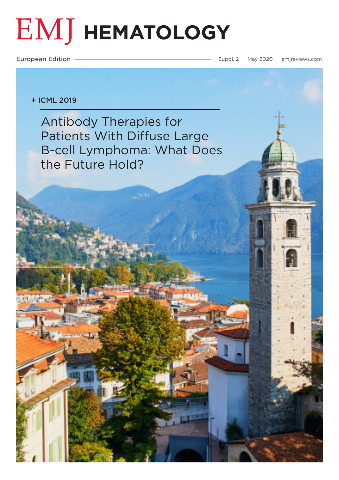# **EMJ HEMATOLOGY**

European Edition **Supplem 2020** [emjreviews.com](https://www.emjreviews.com)

## + ICML 2019

Antibody Therapies for Patients With Diffuse Large [B-cell Lymphoma: What Does](#page-1-0)  the Future Hold?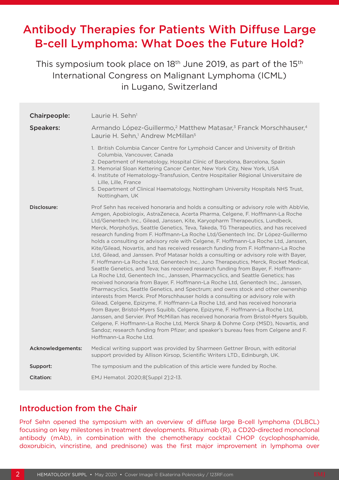## <span id="page-1-0"></span>Antibody Therapies for Patients With Diffuse Large B-cell Lymphoma: What Does the Future Hold?

This symposium took place on 18<sup>th</sup> June 2019, as part of the 15<sup>th</sup> International Congress on Malignant Lymphoma (ICML) in Lugano, Switzerland

| Chairpeople:      | Laurie H. Sehn <sup>1</sup>                                                                                                                                                                                                                                                                                                                                                                                                                                                                                                                                                                                                                                                                                                                                                                                                                                                                                                                                                                                                                                                                                                                                                                                                                                                                                                                                                                                                                                                                                                                                                                                                                                                                               |
|-------------------|-----------------------------------------------------------------------------------------------------------------------------------------------------------------------------------------------------------------------------------------------------------------------------------------------------------------------------------------------------------------------------------------------------------------------------------------------------------------------------------------------------------------------------------------------------------------------------------------------------------------------------------------------------------------------------------------------------------------------------------------------------------------------------------------------------------------------------------------------------------------------------------------------------------------------------------------------------------------------------------------------------------------------------------------------------------------------------------------------------------------------------------------------------------------------------------------------------------------------------------------------------------------------------------------------------------------------------------------------------------------------------------------------------------------------------------------------------------------------------------------------------------------------------------------------------------------------------------------------------------------------------------------------------------------------------------------------------------|
| <b>Speakers:</b>  | Armando López-Guillermo, <sup>2</sup> Matthew Matasar, <sup>3</sup> Franck Morschhauser, <sup>4</sup><br>Laurie H. Sehn, <sup>1</sup> Andrew McMillan <sup>5</sup>                                                                                                                                                                                                                                                                                                                                                                                                                                                                                                                                                                                                                                                                                                                                                                                                                                                                                                                                                                                                                                                                                                                                                                                                                                                                                                                                                                                                                                                                                                                                        |
|                   | 1. British Columbia Cancer Centre for Lymphoid Cancer and University of British<br>Columbia, Vancouver, Canada<br>2. Department of Hematology, Hospital Clínic of Barcelona, Barcelona, Spain<br>3. Memorial Sloan Kettering Cancer Center, New York City, New York, USA<br>4. Institute of Hematology-Transfusion, Centre Hospitalier Régional Universitaire de<br>Lille, Lille, France<br>5. Department of Clinical Haematology, Nottingham University Hospitals NHS Trust,<br>Nottingham, UK                                                                                                                                                                                                                                                                                                                                                                                                                                                                                                                                                                                                                                                                                                                                                                                                                                                                                                                                                                                                                                                                                                                                                                                                           |
| Disclosure:       | Prof Sehn has received honoraria and holds a consulting or advisory role with AbbVie,<br>Amgen, Apobiologix, AstraZeneca, Acerta Pharma, Celgene, F. Hoffmann-La Roche<br>Ltd/Genentech Inc., Gilead, Janssen, Kite, Karyopharm Therapeutics, Lundbeck,<br>Merck, MorphoSys, Seattle Genetics, Teva, Takeda, TG Therapeutics, and has received<br>research funding from F. Hoffmann-La Roche Ltd/Genentech Inc. Dr López-Guillermo<br>holds a consulting or advisory role with Celgene, F. Hoffmann-La Roche Ltd, Janssen,<br>Kite/Gilead, Novartis, and has received research funding from F. Hoffmann-La Roche<br>Ltd, Gilead, and Janssen. Prof Matasar holds a consulting or advisory role with Bayer,<br>F. Hoffmann-La Roche Ltd, Genentech Inc., Juno Therapeutics, Merck, Rocket Medical,<br>Seattle Genetics, and Teva; has received research funding from Bayer, F. Hoffmann-<br>La Roche Ltd, Genentech Inc., Janssen, Pharmacyclics, and Seattle Genetics; has<br>received honoraria from Bayer, F. Hoffmann-La Roche Ltd, Genentech Inc., Janssen,<br>Pharmacyclics, Seattle Genetics, and Spectrum; and owns stock and other ownership<br>interests from Merck. Prof Morschhauser holds a consulting or advisory role with<br>Gilead, Celgene, Epizyme, F. Hoffmann-La Roche Ltd, and has received honoraria<br>from Bayer, Bristol-Myers Squibb, Celgene, Epizyme, F. Hoffmann-La Roche Ltd,<br>Janssen, and Servier. Prof McMillan has received honoraria from Bristol-Myers Squibb,<br>Celgene, F. Hoffmann-La Roche Ltd, Merck Sharp & Dohme Corp (MSD), Novartis, and<br>Sandoz; research funding from Pfizer; and speaker's bureau fees from Celgene and F.<br>Hoffmann-La Roche Ltd. |
| Acknowledgements: | Medical writing support was provided by Sharmeen Gettner Broun, with editorial<br>support provided by Allison Kirsop, Scientific Writers LTD., Edinburgh, UK.                                                                                                                                                                                                                                                                                                                                                                                                                                                                                                                                                                                                                                                                                                                                                                                                                                                                                                                                                                                                                                                                                                                                                                                                                                                                                                                                                                                                                                                                                                                                             |
| Support:          | The symposium and the publication of this article were funded by Roche.                                                                                                                                                                                                                                                                                                                                                                                                                                                                                                                                                                                                                                                                                                                                                                                                                                                                                                                                                                                                                                                                                                                                                                                                                                                                                                                                                                                                                                                                                                                                                                                                                                   |
| <b>Citation:</b>  | EMJ Hematol. 2020;8[Suppl 2]:2-13.                                                                                                                                                                                                                                                                                                                                                                                                                                                                                                                                                                                                                                                                                                                                                                                                                                                                                                                                                                                                                                                                                                                                                                                                                                                                                                                                                                                                                                                                                                                                                                                                                                                                        |

## Introduction from the Chair

Prof Sehn opened the symposium with an overview of diffuse large B-cell lymphoma (DLBCL) focussing on key milestones in treatment developments. Rituximab (R), a CD20-directed monoclonal antibody (mAb), in combination with the chemotherapy cocktail CHOP (cyclophosphamide, doxorubicin, vincristine, and prednisone) was the first major improvement in lymphoma over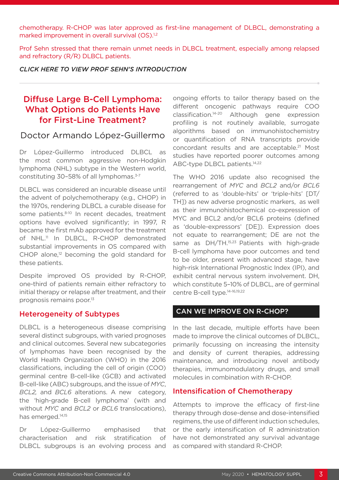chemotherapy. R-CHOP was later approved as first-line management of DLBCL, demonstrating a marked improvement in overall survival (OS).<sup>1,2</sup>

Prof Sehn stressed that there remain unmet needs in DLBCL treatment, especially among relapsed and refractory (R/R) DLBCL patients.

*[CLICK HERE TO VIEW PROF SEHN'S INTRODUCTION](https://youtu.be/rqPlphcBvBw)*

## Diffuse Large B-Cell Lymphoma: What Options do Patients Have for First-Line Treatment?

## Doctor Armando López-Guillermo

Dr López-Guillermo introduced DLBCL as the most common aggressive non-Hodgkin lymphoma (NHL) subtype in the Western world, constituting 30-58% of all lymphomas.<sup>3-7</sup>

DLBCL was considered an incurable disease until the advent of polychemotherapy (e.g., CHOP) in the 1970s, rendering DLBCL a curable disease for some patients.<sup>8-10</sup> In recent decades, treatment options have evolved significantly; in 1997, R became the first mAb approved for the treatment of NHL.<sup>11</sup> In DLBCL, R-CHOP demonstrated substantial improvements in OS compared with CHOP alone,<sup>12</sup> becoming the gold standard for these patients.

Despite improved OS provided by R-CHOP, one-third of patients remain either refractory to initial therapy or relapse after treatment, and their prognosis remains poor.13

#### Heterogeneity of Subtypes

DLBCL is a heterogeneous disease comprising several distinct subgroups, with varied prognoses and clinical outcomes. Several new subcategories of lymphomas have been recognised by the World Health Organization (WHO) in the 2016 classifications, including the cell of origin (COO) germinal centre B-cell-like (GCB) and activated B-cell-like (ABC) subgroups, and the issue of *MYC*, *BCL2,* and *BCL6* alterations. A new category, the 'high-grade B-cell lymphoma' (with and without *MYC* and *BCL2* or *BCL6* translocations), has emerged.<sup>14,15</sup>

Dr López-Guillermo emphasised that characterisation and risk stratification of DLBCL subgroups is an evolving process and

ongoing efforts to tailor therapy based on the different oncogenic pathways require COO classification.14-20 Although gene expression profiling is not routinely available, surrogate algorithms based on immunohistochemistry or quantification of RNA transcripts provide concordant results and are acceptable.<sup>21</sup> Most studies have reported poorer outcomes among ABC-type DLBCL patients.<sup>14,22</sup>

The WHO 2016 update also recognised the rearrangement of *MYC* and *BCL2* and/or *BCL6* (referred to as 'double-hits' or 'triple-hits' [DT/ TH]) as new adverse prognostic markers, as well as their immunohistochemical co-expression of MYC and BCL2 and/or BCL6 proteins (defined as 'double-expressors' [DE]). Expression does not equate to rearrangement; DE are not the same as DH/TH.<sup>15,23</sup> Patients with high-grade B-cell lymphoma have poor outcomes and tend to be older, present with advanced stage, have high-risk International Prognostic Index (IPI), and exhibit central nervous system involvement. DH, which constitute 5-10% of DLBCL, are of germinal centre B-cell type.<sup>14-16,19,22</sup>

#### CAN WE IMPROVE ON R-CHOP?

In the last decade, multiple efforts have been made to improve the clinical outcomes of DLBCL, primarily focussing on increasing the intensity and density of current therapies, addressing maintenance, and introducing novel antibody therapies, immunomodulatory drugs, and small molecules in combination with R-CHOP.

#### Intensification of Chemotherapy

Attempts to improve the efficacy of first-line therapy through dose-dense and dose-intensified regimens, the use of different induction schedules, or the early intensification of R administration have not demonstrated any survival advantage as compared with standard R-CHOP.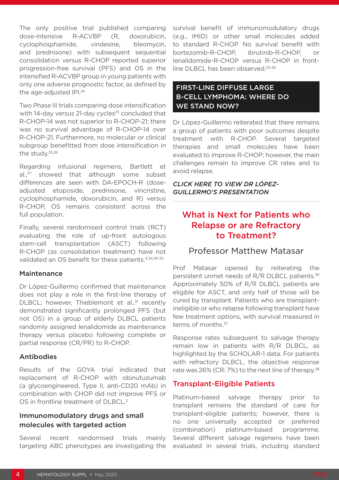The only positive trial published comparing dose-intensive R-ACVBP (R, doxorubicin, cyclophosphamide, vindesine, bleomycin, and prednisone) with subsequent sequential consolidation versus R-CHOP reported superior progression-free survival (PFS) and OS in the intensified R-ACVBP group in young patients with only one adverse prognostic factor, as defined by the age-adjusted IPI.<sup>24</sup>

Two Phase III trials comparing dose intensification with  $14$ -day versus 21-day cycles<sup>25</sup> concluded that R-CHOP-14 was not superior to R-CHOP-21; there was no survival advantage of R-CHOP-14 over R-CHOP-21. Furthermore, no molecular or clinical subgroup benefitted from dose intensification in the study.25,26

Regarding infusional regimens, Bartlett et al.<sup>27</sup> showed that although some subset differences are seen with DA-EPOCH-R (doseadjusted etoposide, prednisone, vincristine, cyclophosphamide, doxorubicin, and R) versus R-CHOP, OS remains consistent across the full population.

Finally, several randomised control trials (RCT) evaluating the role of up-front autologous stem-cell transplantation (ASCT) following R-CHOP (as consolidation treatment) have not validated an OS benefit for these patients.4,24,28-30

#### Maintenance

Dr López-Guillermo confirmed that maintenance does not play a role in the first-line therapy of DLBCL: however, Thieblemont et al.<sup>31</sup> recently demonstrated significantly prolonged PFS (but not OS) in a group of elderly DLBCL patients randomly assigned lenalidomide as maintenance therapy versus placebo following complete or partial response (CR/PR) to R-CHOP.

#### Antibodies

Results of the GOYA trial indicated that replacement of R-CHOP with obinutuzumab (a glycoengineered, Type II, anti-CD20 mAb) in combination with CHOP did not improve PFS or OS in frontline treatment of DLBCL.<sup>2</sup>

#### Immunomodulatory drugs and small molecules with targeted action

Several recent randomised trials mainly targeting ABC phenotypes are investigating the survival benefit of immunomodulatory drugs (e.g., IMiD) or other small molecules added to standard R-CHOP. No survival benefit with bortezomib-R-CHOP, ibrutinib-R-CHOP, or lenalidomide-R-CHOP versus R-CHOP in frontline DLBCL has been observed.<sup>32-35</sup>

## FIRST-LINE DIFFUSE LARGE B-CELL LYMPHOMA: WHERE DO WE STAND NOW?

Dr López-Guillermo reiterated that there remains a group of patients with poor outcomes despite treatment with R-CHOP. Several targeted therapies and small molecules have been evaluated to improve R-CHOP; however, the main challenges remain to improve CR rates and to avoid relapse.

#### *[CLICK HERE TO VIEW DR LÓPEZ-](https://youtu.be/PznzvraoT4M)[GUILLERMO'S PRESENTATION](https://youtu.be/PznzvraoT4M)*

## What is Next for Patients who Relapse or are Refractory to Treatment?

## Professor Matthew Matasar

Prof Matasar opened by reiterating the persistent unmet needs of R/R DLBCL patients.<sup>36</sup> Approximately 50% of R/R DLBCL patients are eligible for ASCT, and only half of those will be cured by transplant. Patients who are transplantineligible or who relapse following transplant have few treatment options, with survival measured in terms of months.<sup>37</sup>

Response rates subsequent to salvage therapy remain low in patients with R/R DLBCL, as highlighted by the SCHOLAR-1 data. For patients with refractory DLBCL, the objective response rate was 26% (CR: 7%) to the next line of therapy.<sup>38</sup>

## Transplant-Eligible Patients

Platinum-based salvage therapy prior to transplant remains the standard of care for transplant-eligible patients; however, there is no one universally accepted or preferred (combination) platinum-based programme. Several different salvage regimens have been evaluated in several trials, including standard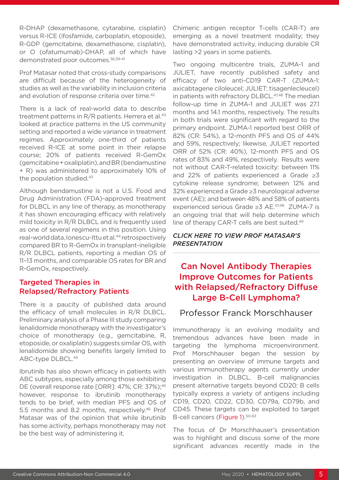R-DHAP (dexamethasone, cytarabine, cisplatin) versus R-ICE (ifosfamide, carboplatin, etoposide), R-GDP (gemcitabine, dexamethasone, cisplatin), or O (ofatumumab)-DHAP, all of which have demonstrated poor outcomes.<sup>36,39-41</sup>

Prof Matasar noted that cross-study comparisons are difficult because of the heterogeneity of studies as well as the variability in inclusion criteria and evolution of response criteria over time.<sup>42</sup>

There is a lack of real-world data to describe treatment patterns in  $R/R$  patients. Herrera et al.<sup>43</sup> looked at practice patterns in the US community setting and reported a wide variance in treatment regimes. Approximately one-third of patients received R-ICE at some point in their relapse course; 20% of patients received R-GemOx (gemcitabine + oxaliplatin), and BR (bendamustine + R) was administered to approximately 10% of the population studied.<sup>43</sup>

Although bendamustine is not a U.S. Food and Drug Administration (FDA)-approved treatment for DLBCL in any line of therapy, as monotherapy it has shown encouraging efficacy with relatively mild toxicity in R/R DLBCL and is frequently used as one of several regimens in this position. Using real-world data, Ionescu-Ittu et al.<sup>44</sup> retrospectively compared BR to R-GemOx in transplant-ineligible R/R DLBCL patients, reporting a median OS of 11–13 months, and comparable OS rates for BR and R-GemOx, respectively.

## Targeted Therapies in Relapsed/Refractory Patients

There is a paucity of published data around the efficacy of small molecules in R/R DLBCL. Preliminary analysis of a Phase III study comparing lenalidomide monotherapy with the investigator's choice of monotherapy (e.g., gemcitabine, R, etoposide, or oxaliplatin) suggests similar OS, with lenalidomide showing benefits largely limited to ABC-type DLBCL.45

Ibrutinib has also shown efficacy in patients with ABC subtypes, especially among those exhibiting DE (overall response rate [ORR]: 47%; CR: 37%):<sup>46</sup> however, response to ibrutinib monotherapy tends to be brief, with median PFS and OS of 5.5 months and 8.2 months, respectively.46 Prof Matasar was of the opinion that while ibrutinib has some activity, perhaps monotherapy may not be the best way of administering it.

Chimeric antigen receptor T-cells (CAR-T) are emerging as a novel treatment modality; they have demonstrated activity, inducing durable CR lasting >2 years in some patients.

Two ongoing multicentre trials, ZUMA-1 and JULIET, have recently published safety and efficacy of two anti-CD19 CAR-T (ZUMA-1: axicabtagene ciloleucel; JULIET: tisagenlecleucel) in patients with refractory DLBCL.<sup>47,48</sup> The median follow-up time in ZUMA-1 and JULIET was 27.1 months and 14.1 months, respectively. The results in both trials were significant with regard to the primary endpoint. ZUMA-1 reported best ORR of 82% (CR: 54%), a 12-month PFS and OS of 44% and 59%, respectively; likewise, JULIET reported ORR of 52% (CR: 40%), 12-month PFS and OS rates of 83% and 49%, respectively. Results were not without CAR-T-related toxicity: between 11% and 22% of patients experienced a Grade ≥3 cytokine release syndrome; between 12% and 32% experienced a Grade ≥3 neurological adverse event (AE); and between 48% and 58% of patients experienced serious Grade ≥3 AE.47,48 ZUMA-7 is an ongoing trial that will help determine which line of therapy CAR-T cells are best suited.<sup>49</sup>

#### *[CLICK HERE TO VIEW PROF MATASAR'S](https://youtu.be/XNI1FUdBzQ8)  [PRESENTATION](https://youtu.be/XNI1FUdBzQ8)*

## Can Novel Antibody Therapies Improve Outcomes for Patients with Relapsed/Refractory Diffuse Large B-Cell Lymphoma?

## Professor Franck Morschhauser

Immunotherapy is an evolving modality and tremendous advances have been made in targeting the lymphoma microenvironment. Prof Morschhauser began the session by presenting an overview of immune targets and various immunotherapy agents currently under investigation in DLBCL. B-cell malignancies present alternative targets beyond CD20: B cells typically express a variety of antigens including CD19, CD20, CD22, CD30, CD79a, CD79b, and CD45. These targets can be exploited to target B-cell cancers (Figure 1).<sup>50-63</sup>

The focus of Dr Morschhauser's presentation was to highlight and discuss some of the more significant advances recently made in the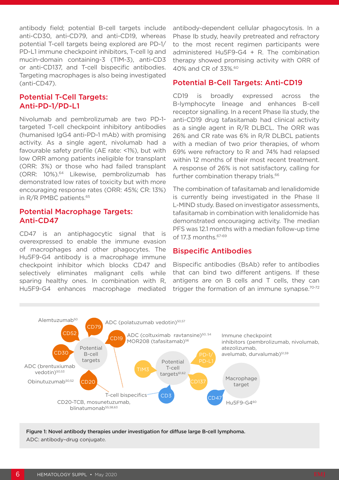antibody field; potential B-cell targets include anti-CD30, anti-CD79, and anti-CD19, whereas potential T-cell targets being explored are PD-1/ PD-L1 immune checkpoint inhibitors, T-cell Ig and mucin-domain containing-3 (TIM-3), anti-CD3 or anti-CD137, and T-cell bispecific antibodies. Targeting macrophages is also being investigated (anti-CD47).

## Potential T-Cell Targets: Anti-PD-1/PD-L1

Nivolumab and pembrolizumab are two PD-1 targeted T-cell checkpoint inhibitory antibodies (humanised IgG4 anti-PD-1 mAb) with promising activity. As a single agent, nivolumab had a favourable safety profile (AE rate: <1%), but with low ORR among patients ineligible for transplant (ORR: 3%) or those who had failed transplant (ORR: 10%).64 Likewise, pembrolizumab has demonstrated low rates of toxicity but with more encouraging response rates (ORR: 45%; CR: 13%) in R/R PMBC patients.65

#### Potential Macrophage Targets: Anti-CD47

CD47 is an antiphagocytic signal that is overexpressed to enable the immune evasion of macrophages and other phagocytes. The Hu5F9-G4 antibody is a macrophage immune checkpoint inhibitor which blocks CD47 and selectively eliminates malignant cells while sparing healthy ones. In combination with R, Hu5F9-G4 enhances macrophage mediated antibody-dependent cellular phagocytosis. In a Phase Ib study, heavily pretreated and refractory to the most recent regimen participants were administered Hu5F9-G4 + R. The combination therapy showed promising activity with ORR of 40% and CR of 33%.60

#### Potential B-Cell Targets: Anti-CD19

CD19 is broadly expressed across the B-lymphocyte lineage and enhances B-cell receptor signalling. In a recent Phase IIa study, the anti-CD19 drug tafasitamab had clinical activity as a single agent in R/R DLBCL. The ORR was 26% and CR rate was 6% in R/R DLBCL patients with a median of two prior therapies, of whom 69% were refractory to R and 74% had relapsed within 12 months of their most recent treatment. A response of 26% is not satisfactory, calling for further combination therapy trials.<sup>66</sup>

The combination of tafasitamab and lenalidomide is currently being investigated in the Phase II L-MIND study. Based on investigator assessments, tafasitamab in combination with lenalidomide has demonstrated encouraging activity. The median PFS was 12.1 months with a median follow-up time of 17.3 months.67-69

#### Bispecific Antibodies

Bispecific antibodies (BsAb) refer to antibodies that can bind two different antigens. If these antigens are on B cells and T cells, they can trigger the formation of an immune synapse.<sup>70-72</sup>



Figure 1: Novel antibody therapies under investigation for diffuse large B-cell lymphoma. ADC: antibody–drug conjugate.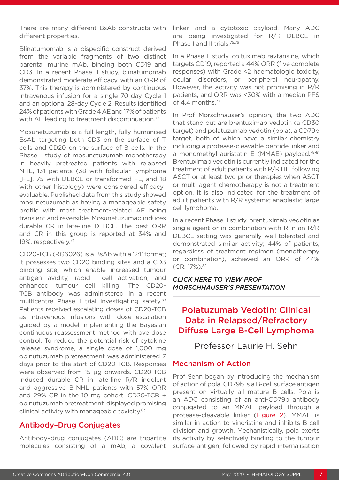There are many different BsAb constructs with different properties.

Blinatumomab is a bispecific construct derived from the variable fragments of two distinct parental murine mAb, binding both CD19 and CD3. In a recent Phase II study, blinatumomab demonstrated moderate efficacy, with an ORR of 37%. This therapy is administered by continuous intravenous infusion for a single 70-day Cycle 1 and an optional 28-day Cycle 2. Results identified 24% of patients with Grade 4 AE and 17% of patients with AE leading to treatment discontinuation.<sup>73</sup>

Mosunetuzumab is a full-length, fully humanised BsAb targeting both CD3 on the surface of T cells and CD20 on the surface of B cells. In the Phase I study of mosunetuzumab monotherapy in heavily pretreated patients with relapsed NHL, 131 patients (38 with follicular lymphoma [FL], 75 with DLBCL or transformed FL, and 18 with other histology) were considered efficacyevaluable. Published data from this study showed mosunetuzumab as having a manageable safety profile with most treatment-related AE being transient and reversible. Mosunetuzumab induces durable CR in late-line DLBCL. The best ORR and CR in this group is reported at 34% and 19%, respectively.74

CD20-TCB (RG6026) is a BsAb with a '2:1' format; it possesses two CD20 binding sites and a CD3 binding site, which enable increased tumour antigen avidity, rapid T-cell activation, and enhanced tumour cell killing. The CD20- TCB antibody was administered in a recent multicentre Phase I trial investigating safety.<sup>63</sup> Patients received escalating doses of CD20-TCB as intravenous infusions with dose escalation guided by a model implementing the Bayesian continuous reassessment method with overdose control. To reduce the potential risk of cytokine release syndrome, a single dose of 1,000 mg obinutuzumab pretreatment was administered 7 days prior to the start of CD20-TCB. Responses were observed from 15 µg onwards. CD20-TCB induced durable CR in late-line R/R indolent and aggressive B-NHL patients with 57% ORR and 29% CR in the 10 mg cohort. CD20-TCB + obinutuzumab pretreatment displayed promising clinical activity with manageable toxicity.<sup>63</sup>

## Antibody–Drug Conjugates

Antibody–drug conjugates (ADC) are tripartite molecules consisting of a mAb, a covalent

linker, and a cytotoxic payload. Many ADC are being investigated for R/R DLBCL in Phase I and II trials.75,76

In a Phase II study, coltuximab ravtansine, which targets CD19, reported a 44% ORR (five complete responses) with Grade <2 haematologic toxicity, ocular disorders, or peripheral neuropathy. However, the activity was not promising in R/R patients, and ORR was <30% with a median PFS of 4.4 months.77

In Prof Morschhauser's opinion, the two ADC that stand out are brentuximab vedotin (a CD30 target) and polatuzumab vedotin (pola), a CD79b target, both of which have a similar chemistry including a protease-cleavable peptide linker and a monomethyl auristatin E (MMAE) payload.<sup>78-81</sup> Brentuximab vedotin is currently indicated for the treatment of adult patients with R/R HL, following ASCT or at least two prior therapies when ASCT or multi-agent chemotherapy is not a treatment option. It is also indicated for the treatment of adult patients with R/R systemic anaplastic large cell lymphoma.

In a recent Phase II study, brentuximab vedotin as single agent or in combination with R in an R/R DLBCL setting was generally well-tolerated and demonstrated similar activity; 44% of patients, regardless of treatment regimen (monotherapy or combination), achieved an ORR of 44% (CR: 17%).82

*[CLICK HERE TO VIEW PROF](https://youtu.be/IQfT2EUdINc)  [MORSCHHAUSER'S PRESENTATION](https://youtu.be/IQfT2EUdINc)*

## Polatuzumab Vedotin: Clinical Data in Relapsed/Refractory Diffuse Large B-Cell Lymphoma

Professor Laurie H. Sehn

### Mechanism of Action

Prof Sehn began by introducing the mechanism of action of pola. CD79b is a B-cell surface antigen present on virtually all mature B cells. Pola is an ADC consisting of an anti-CD79b antibody conjugated to an MMAE payload through a protease-cleavable linker (Figure 2). MMAE is similar in action to vincristine and inhibits B-cell division and growth. Mechanistically, pola exerts its activity by selectively binding to the tumour surface antigen, followed by rapid internalisation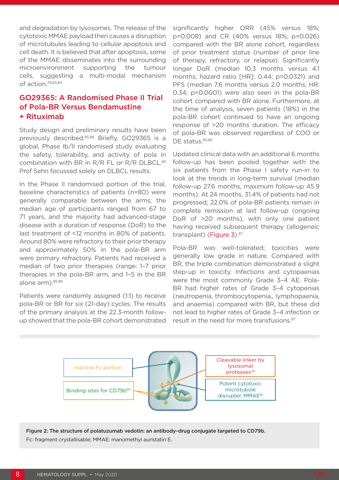and degradation by lysosomes. The release of the cytotoxic MMAE payload then causes a disruption of microtubules leading to cellular apoptosis and cell death. It is believed that after apoptosis, some of the MMAE disseminates into the surrounding microenvironment supporting the tumour cells, suggesting a multi-modal mechanism of action.79,83,84

## GO29365: A Randomised Phase II Trial of Pola-BR Versus Bendamustine + Rituximab

Study design and preliminary results have been previously described.85,86 Briefly, GO29365 is a global, Phase Ib/II randomised study evaluating the safety, tolerability, and activity of pola in combination with BR in  $R/R$  FL or  $R/R$  DLBCL.<sup>85</sup> Prof Sehn focussed solely on DLBCL results.

In the Phase II randomised portion of the trial, baseline characteristics of patients (n=80) were generally comparable between the arms; the median age of participants ranged from 67 to 71 years, and the majority had advanced-stage disease with a duration of response (DoR) to the last treatment of <12 months in 80% of patients. Around 80% were refractory to their prior therapy and approximately 50% in the pola-BR arm were primary refractory. Patients had received a median of two prior therapies (range: 1–7 prior therapies in the pola-BR arm, and 1–5 in the BR alone arm). 85,86

Patients were randomly assigned (1:1) to receive pola-BR or BR for six (21-day) cycles. The results of the primary analysis at the 22.3-month followup showed that the pola-BR cohort demonstrated significantly higher ORR (45% versus 18%; p=0.008) and CR (40% versus 18%; p=0.026) compared with the BR alone cohort, regardless of prior treatment status (number of prior line of therapy, refractory, or relapse). Significantly longer DoR (median 10.3 months versus 4.1 months; hazard ratio [HR]: 0.44; p=0.0321) and PFS (median 7.6 months versus 2.0 months; HR: 0.34; p=0.0001) were also seen in the pola-BR cohort compared with BR alone. Furthermore, at the time of analysis, seven patients (18%) in the pola-BR cohort continued to have an ongoing response of >20 months duration. The efficacy of pola-BR was observed regardless of COO or DE status. 85,86

Updated clinical data with an additional 6 months follow-up has been pooled together with the six patients from the Phase I safety run-in to look at the trends in long-term survival (median follow-up 27.6 months, maximum follow-up 45.9 months). At 24 months, 31.4% of patients had not progressed; 22.0% of pola-BR patients remain in complete remission at last follow-up (ongoing DoR of >20 months), with only one patient having received subsequent therapy (allogeneic transplant) (Figure 3).<sup>87</sup>

Pola-BR was well-tolerated; toxicities were generally low grade in nature. Compared with BR, the triple combination demonstrated a slight step-up in toxicity. Infections and cytopaenias were the most commonly Grade 3–4 AE. Pola-BR had higher rates of Grade 3–4 cytopenias (neutropenia, thrombocytopenia,, lymphopaenia, and anaemia) compared with BR, but these did not lead to higher rates of Grade 3–4 infection or result in the need for more transfusions.<sup>87</sup>



Figure 2: The structure of polatuzumab vedotin: an antibody–drug conjugate targeted to CD79b. Fc: fragment crystallisable; MMAE: manomethyl auristatin E.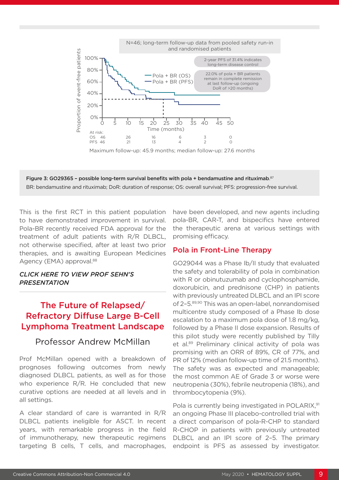

Maximum follow-up: 45.9 months; median follow-up: 27.6 months



This is the first RCT in this patient population to have demonstrated improvement in survival. Pola-BR recently received FDA approval for the treatment of adult patients with R/R DLBCL, not otherwise specified, after at least two prior therapies, and is awaiting European Medicines Agency (EMA) approval.<sup>88</sup>

#### *[CLICK HERE TO VIEW PROF SEHN'S](https://youtu.be/8fuhws4q9wo)  [PRESENTATION](https://youtu.be/8fuhws4q9wo)*

## The Future of Relapsed/ Refractory Diffuse Large B-Cell Lymphoma Treatment Landscape

### Professor Andrew McMillan

Prof McMillan opened with a breakdown of prognoses following outcomes from newly diagnosed DLBCL patients, as well as for those who experience R/R. He concluded that new curative options are needed at all levels and in all settings.

A clear standard of care is warranted in R/R DLBCL patients ineligible for ASCT. In recent years, with remarkable progress in the field of immunotherapy, new therapeutic regimens targeting B cells, T cells, and macrophages, have been developed, and new agents including pola-BR, CAR-T, and bispecifics have entered the therapeutic arena at various settings with promising efficacy.

#### Pola in Front-Line Therapy

GO29044 was a Phase Ib/II study that evaluated the safety and tolerability of pola in combination with R or obinutuzumab and cyclophosphamide, doxorubicin, and prednisone (CHP) in patients with previously untreated DLBCL and an IPI score of 2–5.89,90 This was an open-label, nonrandomised multicentre study composed of a Phase Ib dose escalation to a maximum pola dose of 1.8 mg/kg, followed by a Phase II dose expansion. Results of this pilot study were recently published by Tilly et al.<sup>89</sup> Preliminary clinical activity of pola was promising with an ORR of 89%, CR of 77%, and PR of 12% (median follow-up time of 21.5 months). The safety was as expected and manageable; the most common AE of Grade 3 or worse were neutropenia (30%), febrile neutropenia (18%), and thrombocytopenia (9%).

Pola is currently being investigated in POLARIX,<sup>91</sup> an ongoing Phase III placebo-controlled trial with a direct comparison of pola-R-CHP to standard R-CHOP in patients with previously untreated DLBCL and an IPI score of 2–5. The primary endpoint is PFS as assessed by investigator.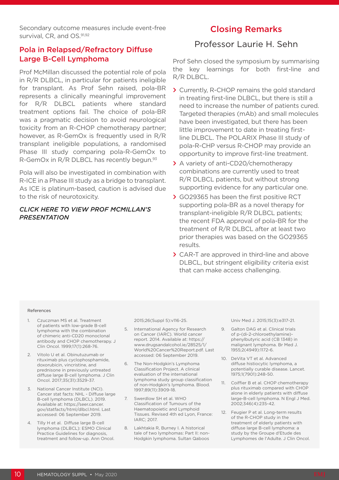Secondary outcome measures include event-free survival, CR, and OS.<sup>91,92</sup>

## Pola in Relapsed/Refractory Diffuse Large B-Cell Lymphoma

Prof McMillan discussed the potential role of pola in R/R DLBCL, in particular for patients ineligible for transplant. As Prof Sehn raised, pola-BR represents a clinically meaningful improvement for R/R DLBCL patients where standard treatment options fail. The choice of pola-BR was a pragmatic decision to avoid neurological toxicity from an R-CHOP chemotherapy partner; however, as R-GemOx is frequently used in R/R transplant ineligible populations, a randomised Phase III study comparing pola-R-GemOx to R-GemOx in R/R DLBCL has recently begun.<sup>93</sup>

Pola will also be investigated in combination with R-ICE in a Phase III study as a bridge to transplant. As ICE is platinum-based, caution is advised due to the risk of neurotoxicity.

#### *[CLICK HERE TO VIEW PROF MCMILLAN'S](https://youtu.be/kKlzFcL0wwg)  [PRESENTATION](https://youtu.be/kKlzFcL0wwg)*

## Closing Remarks

## Professor Laurie H. Sehn

Prof Sehn closed the symposium by summarising the key learnings for both first-line and R/R DLBCL.

- **>** Currently, R-CHOP remains the gold standard in treating first-line DLBCL, but there is still a need to increase the number of patients cured. Targeted therapies (mAb) and small molecules have been investigated, but there has been little improvement to date in treating firstline DLBCL. The POLARIX Phase III study of pola-R-CHP versus R-CHOP may provide an opportunity to improve first-line treatment.
- **>** A variety of anti-CD20/chemotherapy combinations are currently used to treat R/R DLBCL patients, but without strong supporting evidence for any particular one.
- **>** GO29365 has been the first positive RCT supporting pola-BR as a novel therapy for transplant-ineligible R/R DLBCL patients; the recent FDA approval of pola-BR for the treatment of R/R DLBCL after at least two prior therapies was based on the GO29365 results.
- **>** CAR-T are approved in third-line and above DLBCL, but stringent eligibility criteria exist that can make access challenging.

#### References

- 1. Czuczman MS et al. Treatment of patients with low-grade B-cell lymphoma with the combination of chimeric anti-CD20 monoclonal antibody and CHOP chemotherapy. J Clin Oncol. 1999;17(1):268-76.
- 2. Vitolo U et al. Obinutuzumab or rituximab plus cyclophosphamide, doxorubicin, vincristine, and prednisone in previously untreated diffuse large B-cell lymphoma. J Clin Oncol. 2017;35(31):3529-37.
- 3. National Cancer Institute (NCI). Cancer stat facts: NHL - Diffuse large B-cell lymphoma (DLBCL). 2019. Available at: https://seer.cancer. gov/statfacts/html/dlbcl.html. Last accessed: 06 September 2019.
- 4. Tilly H et al. Diffuse large B-cell lymphoma (DLBCL): ESMO Clinical Practice Guidelines for diagnosis, treatment and follow-up. Ann Oncol.

2015;26(Suppl 5):v116-25.

- 5. International Agency for Research on Cancer (IARC). World cancer report. 2014. Available at: https:// www.drugsandalcohol.ie/28525/1/ World%20Cancer%20Report.pdf. Last accessed: 06 September 2019.
- 6. The Non-Hodgkin's Lymphoma Classification Project. A clinical evaluation of the international lymphoma study group classification of non-Hodgkin's lymphoma. Blood. 1997;89(11):3909-18.
- 7. Swerdlow SH et al. WHO Classification of Tumours of the Haematopoietic and Lymphoid Tissues. Revised 4th ed Lyon, France: IARC; 2017.
- 8. Lakhtakia R, Burney I. A historical tale of two lymphomas: Part II: non-Hodgkin lymphoma. Sultan Qaboos

Univ Med J. 2015;15(3):e317-21.

- 9. Galton DAG et al. Clinical trials of p-(di-2-chloroethylamine) phenylbutyric acid (CB 1348) in malignant lymphoma. Br Med J. 1955;2(4949):1172-6.
- 10. DeVita VT et al. Advanced diffuse histiocytic lymphoma, a potentially curable disease. Lancet. 1975;1(7901):248-50.
- 11. Coiffier B et al. CHOP chemotherapy plus rituximab compared with CHOP alone in elderly patients with diffuse large-B-cell lymphoma. N Engl J Med. 2002;346(4):235-42.
- 12. Feugier P et al. Long-term results of the R-CHOP study in the treatment of elderly patients with diffuse large B-cell lymphoma: a study by the Groupe d'Etude des Lymphomes de l'Adulte. J Clin Oncol.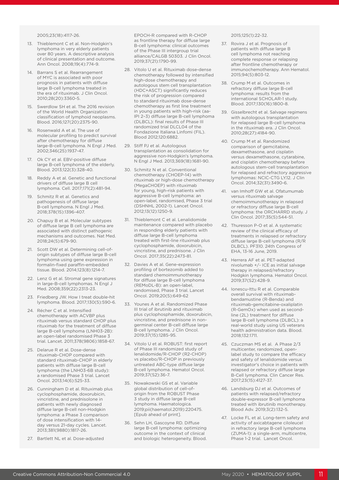2005;23(18):4117-26.

- 13. Thieblemont C et al. Non-Hodgkin's lymphoma in very elderly patients over 80 years. A descriptive analysis of clinical presentation and outcome. Ann Oncol. 2008;19(4):774-9.
- 14. Barrans S et al. Rearrangement of MYC is associated with poor prognosis in patients with diffuse large B-cell lymphoma treated in the era of rituximab. J Clin Oncol. 2010;28(20):3360-5.
- 15. Swerdlow SH et al. The 2016 revision of the World Health Organization classification of lymphoid neoplasms. Blood. 2016;127(20):2375-90.
- 16. Rosenwald A et al. The use of molecular profiling to predict survival after chemotherapy for diffuse large-B-cell lymphoma. N Engl J Med. 2002;346(25):1937-47.
- 17. Ok CY et al. EBV-positive diffuse large B-cell lymphoma of the elderly. Blood. 2013;122(3):328-40.
- 18. Reddy A et al. Genetic and functional drivers of diffuse large B cell lymphoma. Cell. 2017;171(2):481-94.
- 19. Schmitz R et al. Genetics and pathogenesis of diffuse large B-cell lymphoma. N Engl J Med. 2018;378(15):1396-407.
- 20. Chapuy B et al. Molecular subtypes of diffuse large B cell lymphoma are associated with distinct pathogenic mechanisms and outcomes. Nat Med. 2018;24(5):679-90.
- 21. Scott DW et al. Determining cell-oforigin subtypes of diffuse large B-cell lymphoma using gene expression in formalin-fixed paraffin-embedded tissue. Blood. 2014;123(8):1214-7.
- 22. Lenz G et al. Stromal gene signatures in large-B-cell lymphomas. N Engl J Med. 2008;359(22):2313-23.
- 23. Friedberg JW. How I treat double-hit lymphoma. Blood. 2017;130(5):590-6.
- 24. Récher C et al. Intensified chemotherapy with ACVBP plus rituximab versus standard CHOP plus rituximab for the treatment of diffuse large B-cell lymphoma (LNH03-2B): an open-label randomised Phase 3 trial. Lancet. 2011;378(9806):1858-67.
- 25. Delarue R et al. Dose-dense rituximab-CHOP compared with standard rituximab-CHOP in elderly patients with diffuse large B-cell lymphoma (the LNH03-6B study): a randomised Phase 3 trial. Lancet Oncol. 2013;14(6):525-33.
- 26. Cunningham D et al. Rituximab plus cyclophosphamide, doxorubicin, vincristine, and prednisolone in patients with newly diagnosed diffuse large B-cell non-Hodgkin lymphoma: a Phase 3 comparison of dose intensification with 14 day versus 21-day cycles. Lancet. 2013;381(9880):1817-26.
- 27. Bartlett NL et al. Dose-adjusted

EPOCH-R compared with R-CHOP as frontline therapy for diffuse large B-cell lymphoma: clinical outcomes of the Phase III intergroup trial alliance/CALGB 50303. J Clin Oncol. 2019;37(21):1790-99.

- 28. Vitolo U et al. Rituximab dose-dense chemotherapy followed by intensified high-dose chemotherapy and autologous stem cell transplantation (HDC+ASCT) significantly reduces the risk of progression compared to standard rituximab dose-dense chemotherapy as first line treatment in young patients with high-risk (aa-IPI 2–3) diffuse large B-cell lymphoma (DLBCL): final results of Phase III randomized trial DLCL04 of the Fondazione Italiana Linfomi (FIL). Blood 2012;120:6882.
- 29. Stiff PJ et al. Autologous transplantation as consolidation for aggressive non-Hodgkin's lymphoma. N Engl J Med. 2013;369(18):1681-90.
- 30. Schmitz N et al. Conventional chemotherapy (CHOEP-14) with rituximab or high-dose chemotherapy (MegaCHOEP) with rituximab for young, high-risk patients with aggressive B-cell lymphoma: an open-label, randomised, Phase 3 trial (DSHNHL 2002-1). Lancet Oncol. 2012;13(12):1250-9.
- 31. Thieblemont C et al. Lenalidomide maintenance compared with placebo in responding elderly patients with diffuse large B-cell lymphoma treated with first-line rituximab plus cyclophosphamide, doxorubicin, vincristine, and prednisone. J Clin Oncol. 2017;35(22):2473-81.
- 32. Davies A et al. Gene-expression profiling of bortezomib added to standard chemoimmunotherapy for diffuse large B-cell lymphoma (REMoDL-B): an open-label, randomised, Phase 3 trial. Lancet Oncol. 2019;20(5):649-62
- 33. Younes A et al. Randomized Phase III trial of ibrutinib and rituximab plus cyclophosphamide, doxorubicin, vincristine, and prednisone in nongerminal center B-cell diffuse large B-cell lymphoma. J Clin Oncol. 2019;37(15):1285-95.
- 34. Vitolo U et al. ROBUST: first report of Phase III randomized study of lenalidomide/R-CHOP (R2-CHOP) vs placebo/R-CHOP in previously untreated ABC-type diffuse large B-cell lymphoma. Hematol Oncol. 2019;37(S2):36-7.
- 35. Nowakowski GS et al. Variable global distribution of cell-oforigin from the ROBUST Phase 3 study in diffuse large B-cell lymphoma. Haematologica. 2019;pii(haematol.2019):220475. [Epub ahead of print].
- 36. Sehn LH, Gascoyne RD. Diffuse large B-cell lymphoma: optimizing outcome in the context of clinical and biologic heterogeneity. Blood.

2015;125(1):22-32.

- 37. Rovira J et al. Prognosis of patients with diffuse large B cell lymphoma not reaching complete response or relapsing after frontline chemotherapy or immunochemotherapy. Ann Hematol. 2015;94(5):803-12.
- 38. Crump M et al. Outcomes in refractory diffuse large B-cell lymphoma: results from the international SCHOLAR-1 study. Blood. 2017;130(16):1800-8.
- 39. Gisselbrecht et al. Salvage regimens with autologous transplantation for relapsed large B-cell lymphoma in the rituximab era. J Clin Oncol. 2010;28(27):4184-90.
- 40. Crump M et al. Randomized comparison of gemcitabine, dexamethasone, and cisplatin versus dexamethasone, cytarabine, and cisplatin chemotherapy before autologous stem-cell transplantation for relapsed and refractory aggressive lymphomas: NCIC-CTG LY.12. J Clin Oncol. 2014;32(31):3490-6.
- 41. van Imhoff GW et al. Ofatumumab versus rituximab salvage chemoimmunotherapy in relapsed or refractory diffuse large B-cell lymphoma: the ORCHARRD study. J Clin Oncol. 2017;35(5):544-51.
- 42. Thuresson P-O et al. A systematic review of the clinical efficacy of treatments in relapsed or refractory diffuse large B-cell lymphoma (R/R DLBCL). PF310. 24th Congress of EHA, 13-16 June, 2019.
- 43. Herrera AF et al. PET-adapted nivolumab +/- ICE as initial salvage therapy in relapsed/refractory Hodgkin lymphoma. Hematol Oncol. 2019;37(S2):428-9.
- 44. Ionescu-Ittu R et al. Comparable overall survival with rituximabbendamustine (R-Benda) and rituximab-gemcitabine-oxaliplatin (R-GemOx) when used as secondline (2L) treatment for diffuse large B-cell lymphoma (DLBCL): a real-world study using US veterans health administration data. Blood. 2018;132:1711.
- 45. Czuczman MS et al. A Phase 2/3 multicenter, randomized, openlabel study to compare the efficacy and safety of lenalidomide versus investigator's choice in patients with relapsed or refractory diffuse large B-Cell lymphoma. Clin Cancer Res. 2017;23(15):4127-37.
- 46. Landsburg DJ et al. Outcomes of patients with relapsed/refractory double-expressor B-cell lymphoma treated with ibrutinib monotherapy. Blood Adv. 2019;3(2):132-5.
- 47. Locke FL et al. Long-term safety and activity of axicabtagene ciloleucel in refractory large B-cell lymphoma (ZUMA-1): a single-arm, multicentre, Phase 1-2 trial. Lancet Oncol.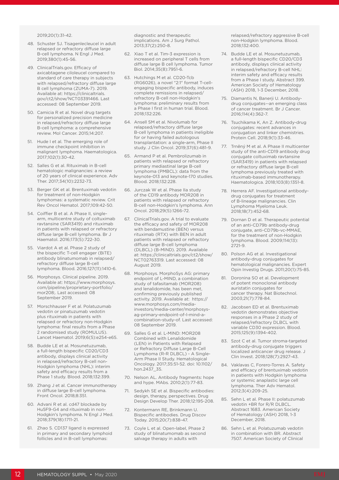2019;20(1):31-42.

- 48. Schuster SJ. Tisagenlecleucel in adult relapsed or refractory diffuse large B-cell lymphoma. N Engl J Med. 2019;380(1):45-56.
- 49. ClinicalTrials.gov. Efficacy of axicabtagene ciloleucel compared to standard of care therapy in subjects with relapsed/refractory diffuse large B cell lymphoma (ZUMA-7). 2019. Available at: https://clinicaltrials. gov/ct2/show/NCT03391466. Last accessed: 08 September 2019.
- 50. Camicia R et al. Novel drug targets for personalized precision medicine in relapsed/refractory diffuse large B-cell lymphoma: a comprehensive review. Mol Cancer. 2015;14:207.
- 51. Hude I et al. The emerging role of immune checkpoint inhibition in malignant lymphoma. Haematologica. 2017;102(1):30-42.
- 52. Salles G et al. Rituximab in B-cell hematologic malignancies: a review of 20 years of clinical experience. Adv Ther. 2017;34(10):2232-73.
- 53. Berger GK et al. Brentuximab vedotin for treatment of non-Hodgkin lymphomas: a systematic review. Crit Rev Oncol Hematol. 2017;109:42-50.
- 54. Coiffier B et al. A Phase II, singlearm, multicentre study of coltuximab ravtansine (SAR3419) and rituximab in patients with relapsed or refractory diffuse large B-cell lymphoma. Br J Haematol. 2016;173(5):722-30.
- 55. Viardot A et al. Phase 2 study of the bispecific T-cell engager (BiTE) antibody blinatumomab in relapsed/ refractory diffuse large B-cell lymphoma. Blood. 2016;127(11):1410-6.
- 56. Morphosys. Clinical pipeline. 2019. Available at: https://www.morphosys. com/pipeline/proprietary-portfolio/ mor208;. Last accessed: 08 September 2019.
- 57. Morschhauser F et al. Polatuzumab vedotin or pinatuzumab vedotin plus rituximab in patients with relapsed or refractory non-Hodgkin lymphoma: final results from a Phase 2 randomised study (ROMULUS). Lancet Haematol. 2019;6(5):e254-e65.
- 58. Budde LE et al. Mosunetuzumab, a full-length bispecific CD20/CD3 antibody, displays clinical activity in relapsed/refractory B-cell non-Hodgkin lymphoma (NHL): interim safety and efficacy results from a Phase 1 study. Blood. 2018;132:399.
- 59. Zhang J et al. Cancer immunotherapy in diffuse large B-cell lymphoma. Front Oncol. 2018;8:351.
- 60. Advani R et al. cd47 blockade by Hu5F9-G4 and rituximab in non-Hodgkin's lymphoma. N Engl J Med. 2018;379(18):1711-21.
- 61. Zhao S. CD137 ligand is expressed in primary and secondary lymphoid follicles and in B-cell lymphomas:

diagnostic and therapeutic implications. Am J Surg Pathol. 2013;37(2):250-8.

- 62. Xiao T et al. Tim-3 expression is increased on peripheral T cells from diffuse large B cell lymphoma. Tumor Biol. 2014;35(8):7951-6.
- 63. Hutchings M et al. CD20-Tcb (RG6026), a novel "2:1" format T-cellengaging bispecific antibody, induces complete remissions in relapsed/ refractory B-cell non-Hodgkin's lymphoma: preliminary results from a Phase I first in human trial. Blood. 2018;132:226.
- 64. Ansell SM et al. Nivolumab for relapsed/refractory diffuse large B-cell lymphoma in patients ineligible for or having failed autologous transplantation: a single-arm, Phase II study. J Clin Oncol. 2019;37(6):481-9.
- 65. Armand P et al. Pembrolizumab in patients with relapsed or refractory primary mediastinal large B-cell lymphoma (PMBCL): data from the keynote-013 and keynote-170 studies. Blood. 2018;132:228.
- 66. Jurczak W et al. Phase IIa study of the CD19 antibody MOR208 in patients with relapsed or refractory B-cell non-Hodgkin's lymphoma. Ann Oncol. 2018;29(5):1266-72.
- 67. ClinicalTrials.gov. A trial to evaluate the efficacy and safety of MOR208 with bendamustine (BEN) versus rituximab (RTX) with BEN in adult patients with relapsed or refractory diffuse large B-cell lymphoma (DLBCL) (B-MIND). 2019. Available at: https://clinicaltrials.gov/ct2/show/ NCT02763319. Last accessed: 08 August 2019.
- 68. Morphosys. MorphoSys AG: primary endpoint of L-MIND, a combination study of tafasitamab (MOR208) and lenalidomide, has been met, confirming previously published activity. 2019. Available at: https:// www.morphosys.com/mediainvestors/media-center/morphosysag-primary-endpoint-of-l-mind-acombination-study-of. Last accessed: 08 September 2019.
- 69. Salles G et al. L-MIND: MOR208 Combined with Lenalidomide (LEN) in Patients with Relapsed or Refractory Diffuse Large B-Cell Lymphoma (R-R DLBCL) - A Single-Arm Phase II Study. Hematological Oncology. 2017;35:51-52. doi: 10.1102/ hon.2437\_35.
- 70. Nelson AL. Antibody fragments: hope and hype. MAbs. 2010;2(1):77-83.
- 71. Sedykh SE et al. Bispecific antibodies: design, therapy, perspectives. Drug Design Develop Ther. 2018;12:195-208.
- 72. Kontermann RE, Brinkmann U. Bispecific antibodies. Drug Discov Today. 2015;20(7):838-47.
- 73. Coyle L et al. Open-label, Phase 2 study of blinatumomab as second salvage therapy in adults with

relapsed/refractory aggressive B-cell non-Hodgkin lymphoma. Blood. 2018;132:400.

- 74. Budde LE et al. Mosunetuzumab, a full-length bispecific CD20/CD3 antibody, displays clinical activity in relapsed/refractory B-cell NHL: interim safety and efficacy results from a Phase I study. Abstract 399. American Society of Hematology (ASH) 2018, 1-3 December, 2018.
- 75. Diamantis N, Banerji U. Antibodydrug conjugates--an emerging class of cancer treatment. Br J Cancer. 2016;114(4):362-7.
- 76. Tsuchikama K, An Z. Antibody-drug conjugates: recent advances in conjugation and linker chemistries. Protein Cell. 2018;9(1):33-46.
- 77. Trnĕný M et al. A Phase II multicenter study of the anti-CD19 antibody drug conjugate coltuximab ravtansine (SAR3419) in patients with relapsed or refractory diffuse large B-cell lymphoma previously treated with rituximab-based immunotherapy. Haematologica. 2018;103(8):1351-8.
- 78. Herrera AF. Investigational antibodydrug conjugates for treatment of B-lineage malignancies. Clin Lymphoma Myeloma Leuk. 2018;18(7):452-68.
- 79. Dornan D et al. Therapeutic potential of an anti-CD79b antibody-drug conjugate, anti-CD79b-vc-MMAE, for the treatment of non-Hodgkin lymphoma. Blood. 2009;114(13): 2721-9.
- 80. Polson AG et al. Investigational antibody-drug conjugates for hematological malignancies. Expert Opin Investig Drugs. 2011;20(1):75-85.
- 81. Doronina SO et al. Development of potent monoclonal antibody auristatin conjugates for cancer therapy. Nat Biotechnol. 2003;21(7):778-84.
- 82. Jacobsen ED et al. Brentuximab vedotin demonstrates objective responses in a Phase 2 study of relapsed/refractory DLBCL with variable CD30 expression. Blood. 2015;125(9):1394-402.
- 83. Szot C et al. Tumor stroma-targeted antibody-drug conjugate triggers localized anticancer drug release. J Clin Invest. 2018;128(7):2927-43.
- 84. Vaklavas C, Forero-Torres A. Safety and efficacy of brentuximab vedotin in patients with Hodgkin lymphoma or systemic anaplastic large cell lymphoma. Ther Adv Hematol. 2012;3(4):209-25.
- 85. Sehn L et al. Phase II: polatuzumab vedotin +BR for R/R DLBCL. Abstract 1683. American Society of Hematology (ASH) 2018, 1-3 December, 2018.
- 86. Sehn L et al. Polatuzumab vedotin in combination with BR. Abstract 7507. American Society of Clinical